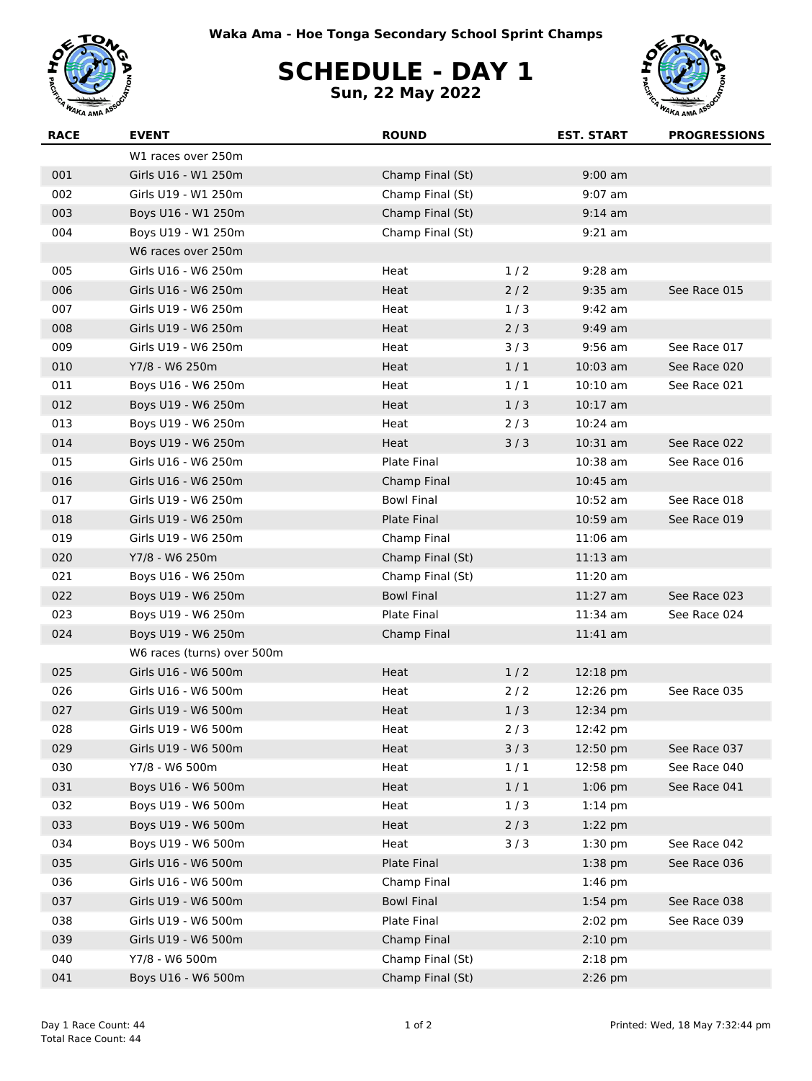



## **SCHEDULE - DAY 1**

**Sun, 22 May 2022**



| <b>RACE</b> | <b>EVENT</b>               | <b>ROUND</b>       |       | <b>EST. START</b> | <b>PROGRESSIONS</b> |
|-------------|----------------------------|--------------------|-------|-------------------|---------------------|
|             | W1 races over 250m         |                    |       |                   |                     |
| 001         | Girls U16 - W1 250m        | Champ Final (St)   |       | $9:00$ am         |                     |
| 002         | Girls U19 - W1 250m        | Champ Final (St)   |       | $9:07$ am         |                     |
| 003         | Boys U16 - W1 250m         | Champ Final (St)   |       | $9:14$ am         |                     |
| 004         | Boys U19 - W1 250m         | Champ Final (St)   |       | $9:21$ am         |                     |
|             | W6 races over 250m         |                    |       |                   |                     |
| 005         | Girls U16 - W6 250m        | Heat               | 1/2   | $9:28$ am         |                     |
| 006         | Girls U16 - W6 250m        | Heat               | 2/2   | $9:35$ am         | See Race 015        |
| 007         | Girls U19 - W6 250m        | Heat               | 1/3   | $9:42$ am         |                     |
| 008         | Girls U19 - W6 250m        | Heat               | 2/3   | $9:49$ am         |                     |
| 009         | Girls U19 - W6 250m        | Heat               | 3/3   | $9:56$ am         | See Race 017        |
| 010         | Y7/8 - W6 250m             | Heat               | 1/1   | $10:03$ am        | See Race 020        |
| 011         | Boys U16 - W6 250m         | Heat               | 1/1   | $10:10$ am        | See Race 021        |
| 012         | Boys U19 - W6 250m         | Heat               | 1/3   | $10:17$ am        |                     |
| 013         | Boys U19 - W6 250m         | Heat               | 2/3   | $10:24$ am        |                     |
| 014         | Boys U19 - W6 250m         | Heat               | 3/3   | 10:31 am          | See Race 022        |
| 015         | Girls U16 - W6 250m        | Plate Final        |       | 10:38 am          | See Race 016        |
| 016         | Girls U16 - W6 250m        | Champ Final        |       | $10:45$ am        |                     |
| 017         | Girls U19 - W6 250m        | <b>Bowl Final</b>  |       | $10:52$ am        | See Race 018        |
| 018         | Girls U19 - W6 250m        | <b>Plate Final</b> |       | 10:59 am          | See Race 019        |
| 019         | Girls U19 - W6 250m        | Champ Final        |       | $11:06$ am        |                     |
| 020         | Y7/8 - W6 250m             | Champ Final (St)   |       | $11:13$ am        |                     |
| 021         | Boys U16 - W6 250m         | Champ Final (St)   |       | 11:20 am          |                     |
| 022         | Boys U19 - W6 250m         | <b>Bowl Final</b>  |       | $11:27$ am        | See Race 023        |
| 023         | Boys U19 - W6 250m         | Plate Final        |       | $11:34$ am        | See Race 024        |
| 024         | Boys U19 - W6 250m         | Champ Final        |       | $11:41$ am        |                     |
|             | W6 races (turns) over 500m |                    |       |                   |                     |
| 025         | Girls U16 - W6 500m        | Heat               | 1/2   | 12:18 pm          |                     |
| 026         | Girls U16 - W6 500m        | Heat               | $2/2$ | 12:26 pm          | See Race 035        |
| 027         | Girls U19 - W6 500m        | Heat               | 1/3   | 12:34 pm          |                     |
| 028         | Girls U19 - W6 500m        | Heat               | 2/3   | 12:42 pm          |                     |
| 029         | Girls U19 - W6 500m        | Heat               | 3/3   | 12:50 pm          | See Race 037        |
| 030         | Y7/8 - W6 500m             | Heat               | 1/1   | 12:58 pm          | See Race 040        |
| 031         | Boys U16 - W6 500m         | Heat               | 1/1   | $1:06$ pm         | See Race 041        |
| 032         | Boys U19 - W6 500m         | Heat               | 1/3   | $1:14$ pm         |                     |
| 033         | Boys U19 - W6 500m         | Heat               | 2/3   | $1:22$ pm         |                     |
| 034         | Boys U19 - W6 500m         | Heat               | 3/3   | $1:30$ pm         | See Race 042        |
| 035         | Girls U16 - W6 500m        | Plate Final        |       | $1:38$ pm         | See Race 036        |
| 036         | Girls U16 - W6 500m        | Champ Final        |       | $1:46$ pm         |                     |
| 037         | Girls U19 - W6 500m        | <b>Bowl Final</b>  |       | $1:54$ pm         | See Race 038        |
| 038         | Girls U19 - W6 500m        | Plate Final        |       | $2:02$ pm         | See Race 039        |
| 039         | Girls U19 - W6 500m        | Champ Final        |       | $2:10$ pm         |                     |
| 040         | Y7/8 - W6 500m             | Champ Final (St)   |       | $2:18$ pm         |                     |
| 041         | Boys U16 - W6 500m         | Champ Final (St)   |       | $2:26$ pm         |                     |